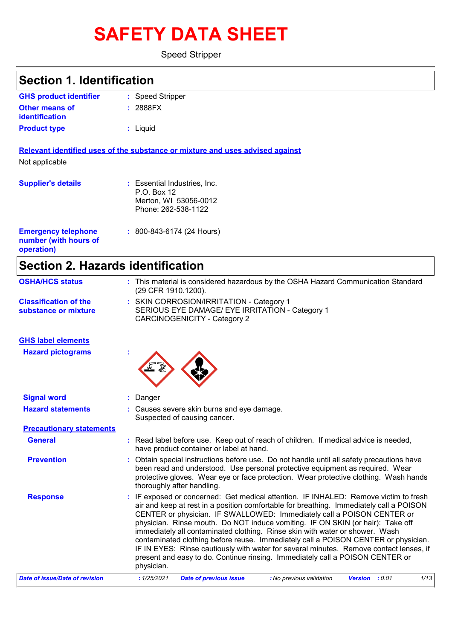# **SAFETY DATA SHEET**

Speed Stripper

| <b>Section 1. Identification</b>               |                                                                                                                                                                                                                                                                                                                                                                                                                                                                                                                                                                                                                    |
|------------------------------------------------|--------------------------------------------------------------------------------------------------------------------------------------------------------------------------------------------------------------------------------------------------------------------------------------------------------------------------------------------------------------------------------------------------------------------------------------------------------------------------------------------------------------------------------------------------------------------------------------------------------------------|
| <b>GHS product identifier</b>                  |                                                                                                                                                                                                                                                                                                                                                                                                                                                                                                                                                                                                                    |
| <b>Other means of</b>                          | : Speed Stripper<br>: 2888FX                                                                                                                                                                                                                                                                                                                                                                                                                                                                                                                                                                                       |
| identification                                 |                                                                                                                                                                                                                                                                                                                                                                                                                                                                                                                                                                                                                    |
| <b>Product type</b>                            | : Liquid                                                                                                                                                                                                                                                                                                                                                                                                                                                                                                                                                                                                           |
|                                                | Relevant identified uses of the substance or mixture and uses advised against                                                                                                                                                                                                                                                                                                                                                                                                                                                                                                                                      |
| Not applicable                                 |                                                                                                                                                                                                                                                                                                                                                                                                                                                                                                                                                                                                                    |
| <b>Supplier's details</b>                      | : Essential Industries, Inc.                                                                                                                                                                                                                                                                                                                                                                                                                                                                                                                                                                                       |
|                                                | P.O. Box 12                                                                                                                                                                                                                                                                                                                                                                                                                                                                                                                                                                                                        |
|                                                | Merton, WI 53056-0012<br>Phone: 262-538-1122                                                                                                                                                                                                                                                                                                                                                                                                                                                                                                                                                                       |
|                                                |                                                                                                                                                                                                                                                                                                                                                                                                                                                                                                                                                                                                                    |
| <b>Emergency telephone</b>                     | : 800-843-6174 (24 Hours)                                                                                                                                                                                                                                                                                                                                                                                                                                                                                                                                                                                          |
| number (with hours of                          |                                                                                                                                                                                                                                                                                                                                                                                                                                                                                                                                                                                                                    |
| operation)                                     |                                                                                                                                                                                                                                                                                                                                                                                                                                                                                                                                                                                                                    |
| <b>Section 2. Hazards identification</b>       |                                                                                                                                                                                                                                                                                                                                                                                                                                                                                                                                                                                                                    |
| <b>OSHA/HCS status</b>                         | : This material is considered hazardous by the OSHA Hazard Communication Standard<br>(29 CFR 1910.1200).                                                                                                                                                                                                                                                                                                                                                                                                                                                                                                           |
| <b>Classification of the</b>                   | : SKIN CORROSION/IRRITATION - Category 1                                                                                                                                                                                                                                                                                                                                                                                                                                                                                                                                                                           |
| substance or mixture                           | SERIOUS EYE DAMAGE/ EYE IRRITATION - Category 1<br><b>CARCINOGENICITY - Category 2</b>                                                                                                                                                                                                                                                                                                                                                                                                                                                                                                                             |
| <b>GHS label elements</b>                      |                                                                                                                                                                                                                                                                                                                                                                                                                                                                                                                                                                                                                    |
| <b>Hazard pictograms</b>                       |                                                                                                                                                                                                                                                                                                                                                                                                                                                                                                                                                                                                                    |
|                                                |                                                                                                                                                                                                                                                                                                                                                                                                                                                                                                                                                                                                                    |
|                                                |                                                                                                                                                                                                                                                                                                                                                                                                                                                                                                                                                                                                                    |
| <b>Signal word</b><br><b>Hazard statements</b> | : Danger<br>: Causes severe skin burns and eye damage.                                                                                                                                                                                                                                                                                                                                                                                                                                                                                                                                                             |
|                                                | Suspected of causing cancer.                                                                                                                                                                                                                                                                                                                                                                                                                                                                                                                                                                                       |
| <b>Precautionary statements</b>                |                                                                                                                                                                                                                                                                                                                                                                                                                                                                                                                                                                                                                    |
| <b>General</b>                                 | : Read label before use. Keep out of reach of children. If medical advice is needed,<br>have product container or label at hand.                                                                                                                                                                                                                                                                                                                                                                                                                                                                                   |
| <b>Prevention</b>                              | : Obtain special instructions before use. Do not handle until all safety precautions have<br>been read and understood. Use personal protective equipment as required. Wear<br>protective gloves. Wear eye or face protection. Wear protective clothing. Wash hands                                                                                                                                                                                                                                                                                                                                                 |
|                                                | thoroughly after handling.<br>: IF exposed or concerned: Get medical attention. IF INHALED: Remove victim to fresh                                                                                                                                                                                                                                                                                                                                                                                                                                                                                                 |
| <b>Response</b>                                | air and keep at rest in a position comfortable for breathing. Immediately call a POISON<br>CENTER or physician. IF SWALLOWED: Immediately call a POISON CENTER or<br>physician. Rinse mouth. Do NOT induce vomiting. IF ON SKIN (or hair): Take off<br>immediately all contaminated clothing. Rinse skin with water or shower. Wash<br>contaminated clothing before reuse. Immediately call a POISON CENTER or physician.<br>IF IN EYES: Rinse cautiously with water for several minutes. Remove contact lenses, if<br>present and easy to do. Continue rinsing. Immediately call a POISON CENTER or<br>physician. |

*Date of issue/Date of revision* **:** *1/25/2021 Date of previous issue : No previous validation Version : 0.01 1/13*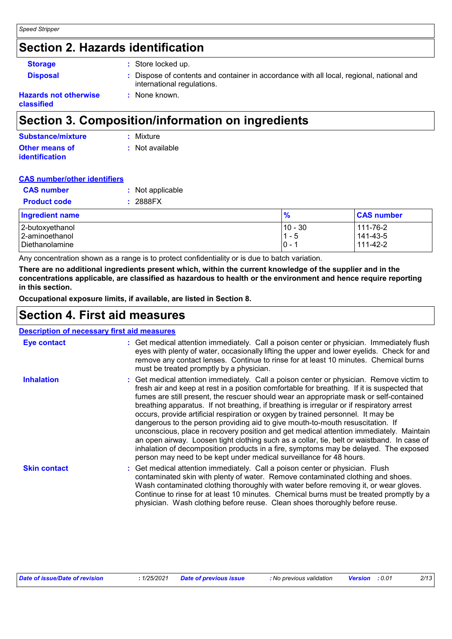### **Section 2. Hazards identification**

| <b>Storage</b>               | : Store locked up.                                                                                                     |
|------------------------------|------------------------------------------------------------------------------------------------------------------------|
| <b>Disposal</b>              | : Dispose of contents and container in accordance with all local, regional, national and<br>international regulations. |
| <b>Hazards not otherwise</b> | : None known.                                                                                                          |

**classified**

### **Section 3. Composition/information on ingredients**

| <b>Substance/mixture</b> | : Mixture       |
|--------------------------|-----------------|
| Other means of           | : Not available |
| <b>identification</b>    |                 |

#### **CAS number/other identifiers**

| <b>CAS</b> number   | : Not applicable |
|---------------------|------------------|
| <b>Product code</b> | : 2888FX         |

| <b>Ingredient name</b>           | $\frac{9}{6}$    | <b>CAS number</b>    |
|----------------------------------|------------------|----------------------|
| 2-butoxyethanol                  | 10 - 30          | 111-76-2             |
| 2-aminoethanol<br>Diethanolamine | $1 - 5$<br>$0 -$ | 141-43-5<br>111-42-2 |
|                                  |                  |                      |

Any concentration shown as a range is to protect confidentiality or is due to batch variation.

**There are no additional ingredients present which, within the current knowledge of the supplier and in the concentrations applicable, are classified as hazardous to health or the environment and hence require reporting in this section.**

**Occupational exposure limits, if available, are listed in Section 8.**

### **Section 4. First aid measures**

| <b>Description of necessary first aid measures</b> |                                                                                                                                                                                                                                                                                                                                                                                                                                                                                                                                                                                                                                                                                                                                                                                                                                                                                                              |  |
|----------------------------------------------------|--------------------------------------------------------------------------------------------------------------------------------------------------------------------------------------------------------------------------------------------------------------------------------------------------------------------------------------------------------------------------------------------------------------------------------------------------------------------------------------------------------------------------------------------------------------------------------------------------------------------------------------------------------------------------------------------------------------------------------------------------------------------------------------------------------------------------------------------------------------------------------------------------------------|--|
| Eye contact                                        | : Get medical attention immediately. Call a poison center or physician. Immediately flush<br>eyes with plenty of water, occasionally lifting the upper and lower eyelids. Check for and<br>remove any contact lenses. Continue to rinse for at least 10 minutes. Chemical burns<br>must be treated promptly by a physician.                                                                                                                                                                                                                                                                                                                                                                                                                                                                                                                                                                                  |  |
| <b>Inhalation</b>                                  | : Get medical attention immediately. Call a poison center or physician. Remove victim to<br>fresh air and keep at rest in a position comfortable for breathing. If it is suspected that<br>fumes are still present, the rescuer should wear an appropriate mask or self-contained<br>breathing apparatus. If not breathing, if breathing is irregular or if respiratory arrest<br>occurs, provide artificial respiration or oxygen by trained personnel. It may be<br>dangerous to the person providing aid to give mouth-to-mouth resuscitation. If<br>unconscious, place in recovery position and get medical attention immediately. Maintain<br>an open airway. Loosen tight clothing such as a collar, tie, belt or waistband. In case of<br>inhalation of decomposition products in a fire, symptoms may be delayed. The exposed<br>person may need to be kept under medical surveillance for 48 hours. |  |
| <b>Skin contact</b>                                | : Get medical attention immediately. Call a poison center or physician. Flush<br>contaminated skin with plenty of water. Remove contaminated clothing and shoes.<br>Wash contaminated clothing thoroughly with water before removing it, or wear gloves.<br>Continue to rinse for at least 10 minutes. Chemical burns must be treated promptly by a<br>physician. Wash clothing before reuse. Clean shoes thoroughly before reuse.                                                                                                                                                                                                                                                                                                                                                                                                                                                                           |  |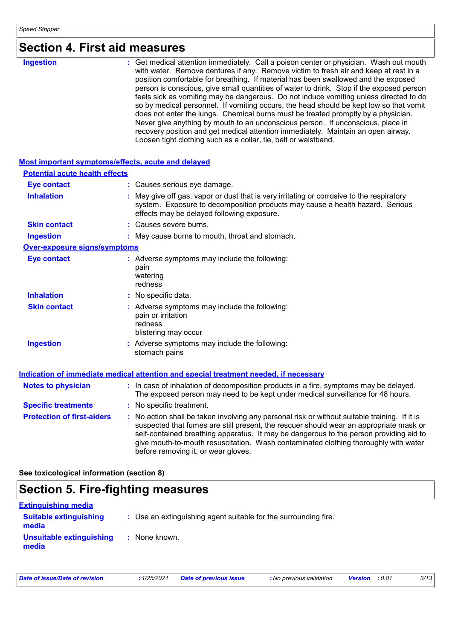| <b>Section 4. First aid measures</b> |  |
|--------------------------------------|--|
|--------------------------------------|--|

| <b>Ingestion</b> | : Get medical attention immediately. Call a poison center or physician. Wash out mouth<br>with water. Remove dentures if any. Remove victim to fresh air and keep at rest in a<br>position comfortable for breathing. If material has been swallowed and the exposed<br>person is conscious, give small quantities of water to drink. Stop if the exposed person<br>feels sick as vomiting may be dangerous. Do not induce vomiting unless directed to do<br>so by medical personnel. If vomiting occurs, the head should be kept low so that vomit<br>does not enter the lungs. Chemical burns must be treated promptly by a physician.<br>Never give anything by mouth to an unconscious person. If unconscious, place in<br>recovery position and get medical attention immediately. Maintain an open airway.<br>Loosen tight clothing such as a collar, tie, belt or waistband. |
|------------------|-------------------------------------------------------------------------------------------------------------------------------------------------------------------------------------------------------------------------------------------------------------------------------------------------------------------------------------------------------------------------------------------------------------------------------------------------------------------------------------------------------------------------------------------------------------------------------------------------------------------------------------------------------------------------------------------------------------------------------------------------------------------------------------------------------------------------------------------------------------------------------------|
|                  |                                                                                                                                                                                                                                                                                                                                                                                                                                                                                                                                                                                                                                                                                                                                                                                                                                                                                     |

| Most important symptoms/effects, acute and delayed |                                                                                                                                                                                                                                                                                                                                                                                                                 |
|----------------------------------------------------|-----------------------------------------------------------------------------------------------------------------------------------------------------------------------------------------------------------------------------------------------------------------------------------------------------------------------------------------------------------------------------------------------------------------|
| <b>Potential acute health effects</b>              |                                                                                                                                                                                                                                                                                                                                                                                                                 |
| <b>Eye contact</b>                                 | : Causes serious eye damage.                                                                                                                                                                                                                                                                                                                                                                                    |
| <b>Inhalation</b>                                  | : May give off gas, vapor or dust that is very irritating or corrosive to the respiratory<br>system. Exposure to decomposition products may cause a health hazard. Serious<br>effects may be delayed following exposure.                                                                                                                                                                                        |
| <b>Skin contact</b>                                | : Causes severe burns.                                                                                                                                                                                                                                                                                                                                                                                          |
| <b>Ingestion</b>                                   | : May cause burns to mouth, throat and stomach.                                                                                                                                                                                                                                                                                                                                                                 |
| <b>Over-exposure signs/symptoms</b>                |                                                                                                                                                                                                                                                                                                                                                                                                                 |
| <b>Eye contact</b>                                 | : Adverse symptoms may include the following:<br>pain<br>watering<br>redness                                                                                                                                                                                                                                                                                                                                    |
| <b>Inhalation</b>                                  | : No specific data.                                                                                                                                                                                                                                                                                                                                                                                             |
| <b>Skin contact</b>                                | : Adverse symptoms may include the following:<br>pain or irritation<br>redness<br>blistering may occur                                                                                                                                                                                                                                                                                                          |
| <b>Ingestion</b>                                   | : Adverse symptoms may include the following:<br>stomach pains                                                                                                                                                                                                                                                                                                                                                  |
|                                                    | Indication of immediate medical attention and special treatment needed, if necessary                                                                                                                                                                                                                                                                                                                            |
| <b>Notes to physician</b>                          | : In case of inhalation of decomposition products in a fire, symptoms may be delayed.<br>The exposed person may need to be kept under medical surveillance for 48 hours.                                                                                                                                                                                                                                        |
| <b>Specific treatments</b>                         | : No specific treatment.                                                                                                                                                                                                                                                                                                                                                                                        |
| <b>Protection of first-aiders</b>                  | : No action shall be taken involving any personal risk or without suitable training. If it is<br>suspected that fumes are still present, the rescuer should wear an appropriate mask or<br>self-contained breathing apparatus. It may be dangerous to the person providing aid to<br>give mouth-to-mouth resuscitation. Wash contaminated clothing thoroughly with water<br>before removing it, or wear gloves. |

**See toxicological information (section 8)**

### **Section 5. Fire-fighting measures**

| <b>Extinguishing media</b>             |                                                                 |
|----------------------------------------|-----------------------------------------------------------------|
| <b>Suitable extinguishing</b><br>media | : Use an extinguishing agent suitable for the surrounding fire. |
| Unsuitable extinguishing<br>media      | : None known.                                                   |

*Date of issue/Date of revision* **:** *1/25/2021 Date of previous issue : No previous validation Version : 0.01 3/13*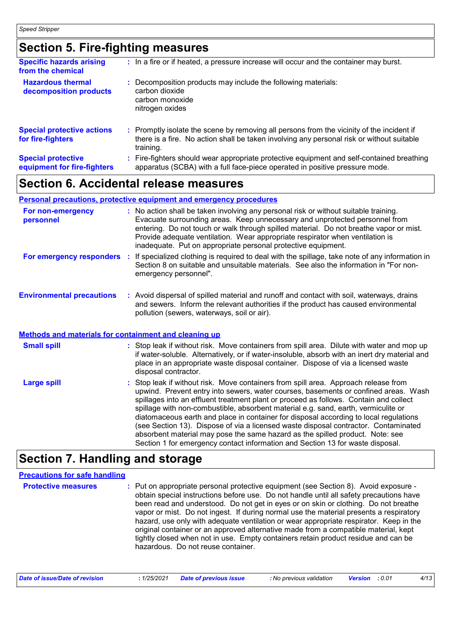### **Section 5. Fire-fighting measures**

| <b>Specific hazards arising</b><br>from the chemical     | : In a fire or if heated, a pressure increase will occur and the container may burst.                                                                                                               |
|----------------------------------------------------------|-----------------------------------------------------------------------------------------------------------------------------------------------------------------------------------------------------|
| <b>Hazardous thermal</b><br>decomposition products       | : Decomposition products may include the following materials:<br>carbon dioxide<br>carbon monoxide<br>nitrogen oxides                                                                               |
| <b>Special protective actions</b><br>for fire-fighters   | : Promptly isolate the scene by removing all persons from the vicinity of the incident if<br>there is a fire. No action shall be taken involving any personal risk or without suitable<br>training. |
| <b>Special protective</b><br>equipment for fire-fighters | Fire-fighters should wear appropriate protective equipment and self-contained breathing<br>apparatus (SCBA) with a full face-piece operated in positive pressure mode.                              |
|                                                          |                                                                                                                                                                                                     |

### **Section 6. Accidental release measures**

#### **Environmental precautions Personal precautions, protective equipment and emergency procedures** Stop leak if without risk. Move containers from spill area. Approach release from upwind. Prevent entry into sewers, water courses, basements or confined areas. Wash spillages into an effluent treatment plant or proceed as follows. Contain and collect **:** Avoid dispersal of spilled material and runoff and contact with soil, waterways, drains **:** No action shall be taken involving any personal risk or without suitable training. Evacuate surrounding areas. Keep unnecessary and unprotected personnel from entering. Do not touch or walk through spilled material. Do not breathe vapor or mist. Provide adequate ventilation. Wear appropriate respirator when ventilation is inadequate. Put on appropriate personal protective equipment. and sewers. Inform the relevant authorities if the product has caused environmental pollution (sewers, waterways, soil or air). **Large spill :** Stop leak if without risk. Move containers from spill area. Dilute with water and mop up if water-soluble. Alternatively, or if water-insoluble, absorb with an inert dry material and place in an appropriate waste disposal container. Dispose of via a licensed waste disposal contractor. **Small spill : Methods and materials for containment and cleaning up For non-emergency personnel For emergency responders :** If specialized clothing is required to deal with the spillage, take note of any information in Section 8 on suitable and unsuitable materials. See also the information in "For nonemergency personnel".

spillage with non-combustible, absorbent material e.g. sand, earth, vermiculite or diatomaceous earth and place in container for disposal according to local regulations (see Section 13). Dispose of via a licensed waste disposal contractor. Contaminated absorbent material may pose the same hazard as the spilled product. Note: see Section 1 for emergency contact information and Section 13 for waste disposal.

### **Section 7. Handling and storage**

#### **Protective measures Theory of the exponential exponent (see Section 8).** Avoid exposure obtain special instructions before use. Do not handle until all safety precautions have been read and understood. Do not get in eyes or on skin or clothing. Do not breathe vapor or mist. Do not ingest. If during normal use the material presents a respiratory hazard, use only with adequate ventilation or wear appropriate respirator. Keep in the original container or an approved alternative made from a compatible material, kept tightly closed when not in use. Empty containers retain product residue and can be hazardous. Do not reuse container. **Precautions for safe handling**

| Date of issue/Date of revision |  | : 1/25/2021 Date of previous issue | : No previous validation | <b>Version :</b> 0.01 |  | 4/13 |
|--------------------------------|--|------------------------------------|--------------------------|-----------------------|--|------|
|--------------------------------|--|------------------------------------|--------------------------|-----------------------|--|------|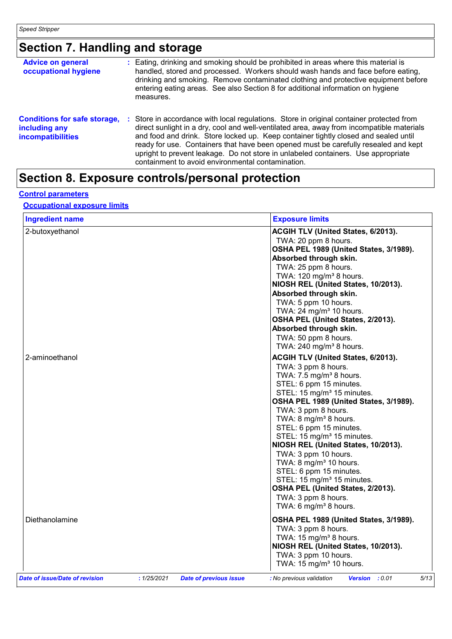### **Section 7. Handling and storage**

| <b>Advice on general</b><br>occupational hygiene                                 | measures. | : Eating, drinking and smoking should be prohibited in areas where this material is<br>handled, stored and processed. Workers should wash hands and face before eating,<br>drinking and smoking. Remove contaminated clothing and protective equipment before<br>entering eating areas. See also Section 8 for additional information on hygiene                                                                                                                                                            |
|----------------------------------------------------------------------------------|-----------|-------------------------------------------------------------------------------------------------------------------------------------------------------------------------------------------------------------------------------------------------------------------------------------------------------------------------------------------------------------------------------------------------------------------------------------------------------------------------------------------------------------|
| <b>Conditions for safe storage,</b><br>including any<br><b>incompatibilities</b> | п.        | Store in accordance with local regulations. Store in original container protected from<br>direct sunlight in a dry, cool and well-ventilated area, away from incompatible materials<br>and food and drink. Store locked up. Keep container tightly closed and sealed until<br>ready for use. Containers that have been opened must be carefully resealed and kept<br>upright to prevent leakage. Do not store in unlabeled containers. Use appropriate<br>containment to avoid environmental contamination. |

### **Section 8. Exposure controls/personal protection**

#### **Control parameters**

#### **Occupational exposure limits**

| <b>Ingredient name</b>         |                                              | <b>Exposure limits</b>                                            |
|--------------------------------|----------------------------------------------|-------------------------------------------------------------------|
| 2-butoxyethanol                |                                              | ACGIH TLV (United States, 6/2013).                                |
|                                |                                              | TWA: 20 ppm 8 hours.                                              |
|                                |                                              | OSHA PEL 1989 (United States, 3/1989).                            |
|                                |                                              | Absorbed through skin.                                            |
|                                |                                              | TWA: 25 ppm 8 hours.                                              |
|                                |                                              | TWA: $120 \text{ mg/m}^3$ 8 hours.                                |
|                                |                                              | NIOSH REL (United States, 10/2013).                               |
|                                |                                              | Absorbed through skin.                                            |
|                                |                                              | TWA: 5 ppm 10 hours.                                              |
|                                |                                              | TWA: $24 \text{ mg/m}^3$ 10 hours.                                |
|                                |                                              | OSHA PEL (United States, 2/2013).                                 |
|                                |                                              | Absorbed through skin.                                            |
|                                |                                              | TWA: 50 ppm 8 hours.                                              |
|                                |                                              | TWA: $240$ mg/m <sup>3</sup> 8 hours.                             |
| 2-aminoethanol                 |                                              | ACGIH TLV (United States, 6/2013).                                |
|                                |                                              | TWA: 3 ppm 8 hours.                                               |
|                                |                                              | TWA: 7.5 mg/m <sup>3</sup> 8 hours.                               |
|                                |                                              | STEL: 6 ppm 15 minutes.                                           |
|                                |                                              | STEL: 15 mg/m <sup>3</sup> 15 minutes.                            |
|                                |                                              | OSHA PEL 1989 (United States, 3/1989).                            |
|                                |                                              | TWA: 3 ppm 8 hours.                                               |
|                                |                                              | TWA: 8 mg/m <sup>3</sup> 8 hours.                                 |
|                                |                                              | STEL: 6 ppm 15 minutes.                                           |
|                                |                                              | STEL: 15 mg/m <sup>3</sup> 15 minutes.                            |
|                                |                                              | NIOSH REL (United States, 10/2013).                               |
|                                |                                              | TWA: 3 ppm 10 hours.                                              |
|                                |                                              | TWA: $8 \text{ mg/m}^3$ 10 hours.                                 |
|                                |                                              | STEL: 6 ppm 15 minutes.<br>STEL: 15 mg/m <sup>3</sup> 15 minutes. |
|                                |                                              | OSHA PEL (United States, 2/2013).                                 |
|                                |                                              | TWA: 3 ppm 8 hours.                                               |
|                                |                                              | TWA: 6 mg/m <sup>3</sup> 8 hours.                                 |
|                                |                                              |                                                                   |
| Diethanolamine                 |                                              | OSHA PEL 1989 (United States, 3/1989).                            |
|                                |                                              | TWA: 3 ppm 8 hours.                                               |
|                                |                                              | TWA: $15 \text{ mg/m}^3$ 8 hours.                                 |
|                                |                                              | NIOSH REL (United States, 10/2013).                               |
|                                |                                              | TWA: 3 ppm 10 hours.                                              |
|                                |                                              | TWA: 15 mg/m <sup>3</sup> 10 hours.                               |
| Date of issue/Date of revision | : 1/25/2021<br><b>Date of previous issue</b> | 5/13<br>Version : 0.01<br>: No previous validation                |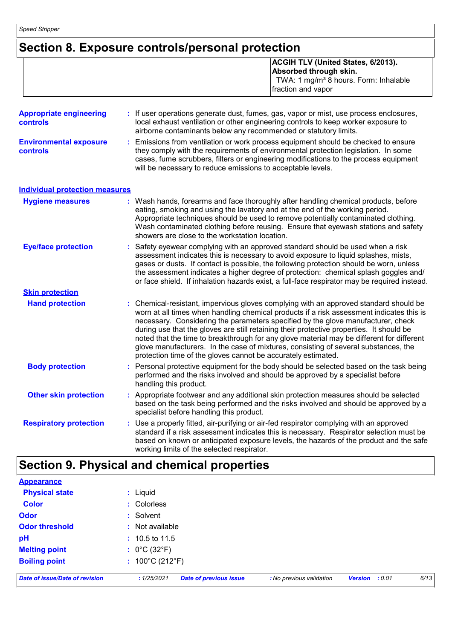### **Section 8. Exposure controls/personal protection**

| <b>ACGIH TLV (United States, 6/2013).</b>         |
|---------------------------------------------------|
| Absorbed through skin.                            |
| TWA: 1 mg/m <sup>3</sup> 8 hours. Form: Inhalable |
| fraction and vapor                                |

| <b>Appropriate engineering</b><br><b>controls</b> | : If user operations generate dust, fumes, gas, vapor or mist, use process enclosures,<br>local exhaust ventilation or other engineering controls to keep worker exposure to<br>airborne contaminants below any recommended or statutory limits.                                                                                                                                                                                                                                                                                                                                                                       |
|---------------------------------------------------|------------------------------------------------------------------------------------------------------------------------------------------------------------------------------------------------------------------------------------------------------------------------------------------------------------------------------------------------------------------------------------------------------------------------------------------------------------------------------------------------------------------------------------------------------------------------------------------------------------------------|
| <b>Environmental exposure</b><br>controls         | Emissions from ventilation or work process equipment should be checked to ensure<br>they comply with the requirements of environmental protection legislation. In some<br>cases, fume scrubbers, filters or engineering modifications to the process equipment<br>will be necessary to reduce emissions to acceptable levels.                                                                                                                                                                                                                                                                                          |
| <b>Individual protection measures</b>             |                                                                                                                                                                                                                                                                                                                                                                                                                                                                                                                                                                                                                        |
| <b>Hygiene measures</b>                           | : Wash hands, forearms and face thoroughly after handling chemical products, before<br>eating, smoking and using the lavatory and at the end of the working period.<br>Appropriate techniques should be used to remove potentially contaminated clothing.<br>Wash contaminated clothing before reusing. Ensure that eyewash stations and safety<br>showers are close to the workstation location.                                                                                                                                                                                                                      |
| <b>Eye/face protection</b>                        | Safety eyewear complying with an approved standard should be used when a risk<br>assessment indicates this is necessary to avoid exposure to liquid splashes, mists,<br>gases or dusts. If contact is possible, the following protection should be worn, unless<br>the assessment indicates a higher degree of protection: chemical splash goggles and/<br>or face shield. If inhalation hazards exist, a full-face respirator may be required instead.                                                                                                                                                                |
| <b>Skin protection</b>                            |                                                                                                                                                                                                                                                                                                                                                                                                                                                                                                                                                                                                                        |
| <b>Hand protection</b>                            | : Chemical-resistant, impervious gloves complying with an approved standard should be<br>worn at all times when handling chemical products if a risk assessment indicates this is<br>necessary. Considering the parameters specified by the glove manufacturer, check<br>during use that the gloves are still retaining their protective properties. It should be<br>noted that the time to breakthrough for any glove material may be different for different<br>glove manufacturers. In the case of mixtures, consisting of several substances, the<br>protection time of the gloves cannot be accurately estimated. |
| <b>Body protection</b>                            | Personal protective equipment for the body should be selected based on the task being<br>performed and the risks involved and should be approved by a specialist before<br>handling this product.                                                                                                                                                                                                                                                                                                                                                                                                                      |
| <b>Other skin protection</b>                      | Appropriate footwear and any additional skin protection measures should be selected<br>based on the task being performed and the risks involved and should be approved by a<br>specialist before handling this product.                                                                                                                                                                                                                                                                                                                                                                                                |
| <b>Respiratory protection</b>                     | : Use a properly fitted, air-purifying or air-fed respirator complying with an approved<br>standard if a risk assessment indicates this is necessary. Respirator selection must be<br>based on known or anticipated exposure levels, the hazards of the product and the safe<br>working limits of the selected respirator.                                                                                                                                                                                                                                                                                             |

### **Section 9. Physical and chemical properties**

| <b>Appearance</b>              |                                              |                          |                          |      |
|--------------------------------|----------------------------------------------|--------------------------|--------------------------|------|
| <b>Physical state</b>          | : Liquid                                     |                          |                          |      |
| <b>Color</b>                   | : Colorless                                  |                          |                          |      |
| <b>Odor</b>                    | : Solvent                                    |                          |                          |      |
| <b>Odor threshold</b>          | : Not available                              |                          |                          |      |
| pH                             | $: 10.5$ to 11.5                             |                          |                          |      |
| <b>Melting point</b>           | : $0^{\circ}$ C (32 $^{\circ}$ F)            |                          |                          |      |
| <b>Boiling point</b>           | : $100^{\circ}$ C (212 $^{\circ}$ F)         |                          |                          |      |
| Date of issue/Date of revision | <b>Date of previous issue</b><br>: 1/25/2021 | : No previous validation | : 0.01<br><b>Version</b> | 6/13 |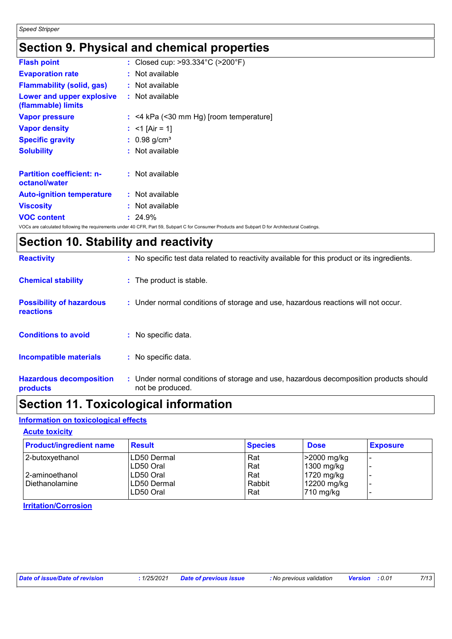### **Section 9. Physical and chemical properties**

| <b>Flash point</b>                                | : Closed cup: >93.334°C (>200°F)                                                                                                                |
|---------------------------------------------------|-------------------------------------------------------------------------------------------------------------------------------------------------|
| <b>Evaporation rate</b>                           | : Not available                                                                                                                                 |
| <b>Flammability (solid, gas)</b>                  | $:$ Not available                                                                                                                               |
| Lower and upper explosive<br>(flammable) limits   | : Not available                                                                                                                                 |
| <b>Vapor pressure</b>                             | $:$ <4 kPa (<30 mm Hg) [room temperature]                                                                                                       |
| <b>Vapor density</b>                              | : <1 [Air = 1]                                                                                                                                  |
| <b>Specific gravity</b>                           | $: 0.98$ g/cm <sup>3</sup>                                                                                                                      |
| <b>Solubility</b>                                 | : Not available                                                                                                                                 |
| <b>Partition coefficient: n-</b><br>octanol/water | : Not available                                                                                                                                 |
| <b>Auto-ignition temperature</b>                  | : Not available                                                                                                                                 |
| <b>Viscosity</b>                                  | : Not available                                                                                                                                 |
| <b>VOC content</b>                                | $: 24.9\%$                                                                                                                                      |
|                                                   | VOCs are calculated following the requirements under 40 CFR, Part 59, Subpart C for Consumer Products and Subpart D for Architectural Coatings. |

### **Section 10. Stability and reactivity**

| <b>Reactivity</b>                                   | : No specific test data related to reactivity available for this product or its ingredients.              |
|-----------------------------------------------------|-----------------------------------------------------------------------------------------------------------|
| <b>Chemical stability</b>                           | : The product is stable.                                                                                  |
| <b>Possibility of hazardous</b><br><b>reactions</b> | : Under normal conditions of storage and use, hazardous reactions will not occur.                         |
| <b>Conditions to avoid</b>                          | : No specific data.                                                                                       |
| <b>Incompatible materials</b>                       | : No specific data.                                                                                       |
| <b>Hazardous decomposition</b><br>products          | : Under normal conditions of storage and use, hazardous decomposition products should<br>not be produced. |

### **Section 11. Toxicological information**

### **Information on toxicological effects**

#### **Acute toxicity**

| <b>Product/ingredient name</b> | <b>Result</b> | <b>Species</b> | <b>Dose</b>           | <b>Exposure</b> |
|--------------------------------|---------------|----------------|-----------------------|-----------------|
| 2-butoxyethanol                | LD50 Dermal   | Rat            | -2000 mg/kg           |                 |
|                                | ILD50 Oral    | Rat            | $1300$ mg/kg          |                 |
| l 2-aminoethanol               | LD50 Oral     | Rat            | 1720 mg/kg            |                 |
| Diethanolamine                 | LD50 Dermal   | Rabbit         | 12200 mg/kg           |                 |
|                                | ILD50 Oral    | Rat            | $ 710 \text{ mg/kg} $ |                 |

**Irritation/Corrosion**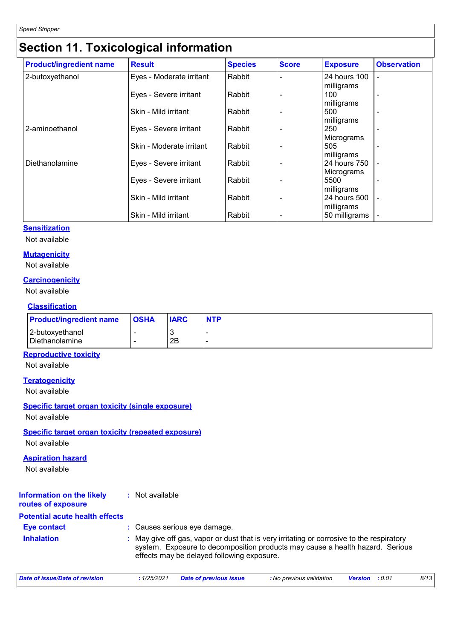### **Section 11. Toxicological information**

| <b>Product/ingredient name</b> | <b>Result</b>            | <b>Species</b> | <b>Score</b> | <b>Exposure</b>             | <b>Observation</b>       |
|--------------------------------|--------------------------|----------------|--------------|-----------------------------|--------------------------|
| 2-butoxyethanol                | Eyes - Moderate irritant | Rabbit         |              | 24 hours 100<br>milligrams  |                          |
|                                | Eyes - Severe irritant   | Rabbit         |              | 100<br>milligrams           | -                        |
|                                | Skin - Mild irritant     | Rabbit         |              | 500<br>milligrams           |                          |
| 2-aminoethanol                 | Eyes - Severe irritant   | Rabbit         |              | 250                         |                          |
|                                | Skin - Moderate irritant | Rabbit         |              | Micrograms<br>505           |                          |
| Diethanolamine                 | Eyes - Severe irritant   | Rabbit         |              | milligrams<br>24 hours 750  |                          |
|                                | Eyes - Severe irritant   | Rabbit         |              | Micrograms<br>5500          | $\overline{a}$           |
|                                | Skin - Mild irritant     | Rabbit         |              | milligrams<br>24 hours 500  | $\overline{\phantom{a}}$ |
|                                | Skin - Mild irritant     | Rabbit         |              | milligrams<br>50 milligrams |                          |

#### **Sensitization**

Not available

#### **Mutagenicity**

Not available

#### **Carcinogenicity**

Not available

#### **Classification**

| <b>Product/ingredient name</b>      | <b>OSHA</b> | <b>IARC</b> | <b>NTP</b> |
|-------------------------------------|-------------|-------------|------------|
| 2-butoxyethanol<br>l Diethanolamine |             | 2B          |            |

#### **Reproductive toxicity**

Not available

#### **Teratogenicity**

Not available

#### **Specific target organ toxicity (single exposure)**

Not available

#### **Specific target organ toxicity (repeated exposure)**

Not available

#### **Aspiration hazard**

Not available

#### **Information on the likely routes of exposure :** Not available

#### **Potential acute health effects**

| Eye contact       | : Causes serious eye damage.                                                                                                                                                                                             |
|-------------------|--------------------------------------------------------------------------------------------------------------------------------------------------------------------------------------------------------------------------|
| <b>Inhalation</b> | : May give off gas, vapor or dust that is very irritating or corrosive to the respiratory<br>system. Exposure to decomposition products may cause a health hazard. Serious<br>effects may be delayed following exposure. |

| Date of issue/Date of revision | : 1/25/2021 Date of previous issue | : No previous validation | <b>Version</b> :0.01 | 8/13 |
|--------------------------------|------------------------------------|--------------------------|----------------------|------|
|                                |                                    |                          |                      |      |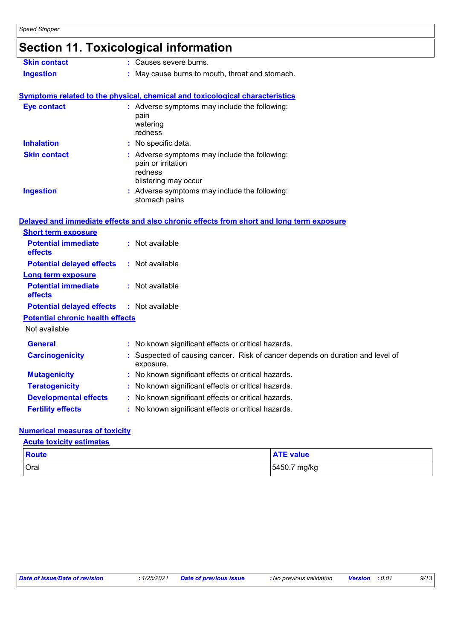## **Section 11. Toxicological information**

| <b>Skin contact</b>                     | : Causes severe burns.                                                                                 |
|-----------------------------------------|--------------------------------------------------------------------------------------------------------|
| <b>Ingestion</b>                        | : May cause burns to mouth, throat and stomach.                                                        |
|                                         |                                                                                                        |
|                                         | Symptoms related to the physical, chemical and toxicological characteristics                           |
| <b>Eye contact</b>                      | : Adverse symptoms may include the following:<br>pain<br>watering<br>redness                           |
| <b>Inhalation</b>                       | : No specific data.                                                                                    |
| <b>Skin contact</b>                     | : Adverse symptoms may include the following:<br>pain or irritation<br>redness<br>blistering may occur |
| <b>Ingestion</b>                        | : Adverse symptoms may include the following:<br>stomach pains                                         |
|                                         | Delayed and immediate effects and also chronic effects from short and long term exposure               |
| <b>Short term exposure</b>              |                                                                                                        |
| <b>Potential immediate</b><br>effects   | : Not available                                                                                        |
| <b>Potential delayed effects</b>        | : Not available                                                                                        |
| <b>Long term exposure</b>               |                                                                                                        |
| <b>Potential immediate</b><br>effects   | : Not available                                                                                        |
| <b>Potential delayed effects</b>        | : Not available                                                                                        |
| <b>Potential chronic health effects</b> |                                                                                                        |
| Not available                           |                                                                                                        |
| <b>General</b>                          | : No known significant effects or critical hazards.                                                    |
| <b>Carcinogenicity</b>                  | Suspected of causing cancer. Risk of cancer depends on duration and level of<br>exposure.              |
| <b>Mutagenicity</b>                     | : No known significant effects or critical hazards.                                                    |
| <b>Teratogenicity</b>                   | No known significant effects or critical hazards.                                                      |
| <b>Developmental effects</b>            | : No known significant effects or critical hazards.                                                    |
| <b>Fertility effects</b>                | : No known significant effects or critical hazards.                                                    |

#### **Numerical measures of toxicity**

**Acute toxicity estimates**

| <b>Route</b> | <b>ATE value</b> |
|--------------|------------------|
| Oral         | 5450.7 mg/kg     |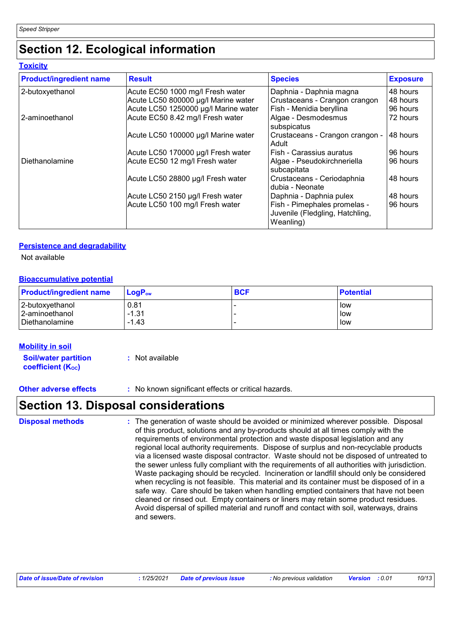### **Section 12. Ecological information**

**Toxicity**

| <b>Product/ingredient name</b> | <b>Result</b>                        | <b>Species</b>                                                               | <b>Exposure</b> |
|--------------------------------|--------------------------------------|------------------------------------------------------------------------------|-----------------|
| 2-butoxyethanol                | Acute EC50 1000 mg/l Fresh water     | Daphnia - Daphnia magna                                                      | 48 hours        |
|                                | Acute LC50 800000 µg/l Marine water  | Crustaceans - Crangon crangon                                                | 48 hours        |
|                                | Acute LC50 1250000 µg/l Marine water | Fish - Menidia beryllina                                                     | 96 hours        |
| 2-aminoethanol                 | Acute EC50 8.42 mg/l Fresh water     | Algae - Desmodesmus<br>subspicatus                                           | 72 hours        |
|                                | Acute LC50 100000 µg/l Marine water  | Crustaceans - Crangon crangon -<br>Adult                                     | 48 hours        |
|                                | Acute LC50 170000 µg/l Fresh water   | Fish - Carassius auratus                                                     | 96 hours        |
| Diethanolamine                 | Acute EC50 12 mg/l Fresh water       | Algae - Pseudokirchneriella<br>subcapitata                                   | 96 hours        |
|                                | Acute LC50 28800 µg/l Fresh water    | Crustaceans - Ceriodaphnia<br>I dubia - Neonate                              | 48 hours        |
|                                | Acute LC50 2150 µg/l Fresh water     | Daphnia - Daphnia pulex                                                      | 48 hours        |
|                                | Acute LC50 100 mg/l Fresh water      | Fish - Pimephales promelas -<br>Juvenile (Fledgling, Hatchling,<br>Weanling) | 96 hours        |

#### **Persistence and degradability**

Not available

#### **Bioaccumulative potential**

| <b>Product/ingredient name</b> | $\mathsf{LogP}_\mathsf{ow}$ | <b>BCF</b> | <b>Potential</b> |
|--------------------------------|-----------------------------|------------|------------------|
| 2-butoxyethanol                | 0.81                        |            | low              |
| 2-aminoethanol                 | $-1.31$                     |            | low              |
| Diethanolamine                 | $-1.43$                     |            | low              |

#### **Mobility in soil**

**Soil/water partition coefficient (KOC) :** Not available

**Other adverse effects** : No known significant effects or critical hazards.

### **Section 13. Disposal considerations**

The generation of waste should be avoided or minimized wherever possible. Disposal of this product, solutions and any by-products should at all times comply with the requirements of environmental protection and waste disposal legislation and any regional local authority requirements. Dispose of surplus and non-recyclable products via a licensed waste disposal contractor. Waste should not be disposed of untreated to the sewer unless fully compliant with the requirements of all authorities with jurisdiction. Waste packaging should be recycled. Incineration or landfill should only be considered when recycling is not feasible. This material and its container must be disposed of in a safe way. Care should be taken when handling emptied containers that have not been cleaned or rinsed out. Empty containers or liners may retain some product residues. Avoid dispersal of spilled material and runoff and contact with soil, waterways, drains and sewers. **Disposal methods :**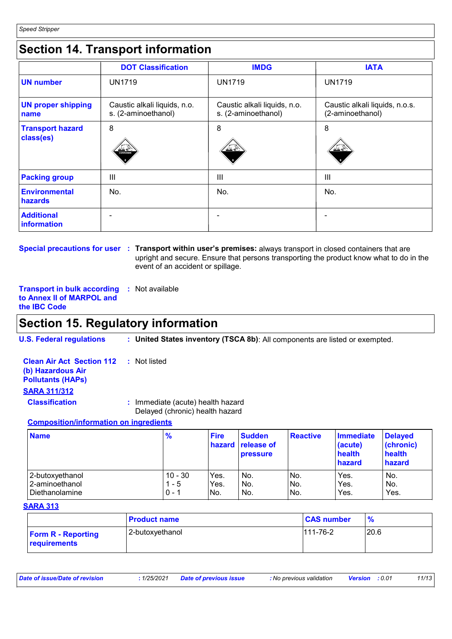### **Section 14. Transport information**

|                                      | <b>DOT Classification</b>                           | <b>IMDG</b>                                         | <b>IATA</b>                                        |
|--------------------------------------|-----------------------------------------------------|-----------------------------------------------------|----------------------------------------------------|
| <b>UN number</b>                     | <b>UN1719</b>                                       | <b>UN1719</b>                                       | <b>UN1719</b>                                      |
| <b>UN proper shipping</b><br>name    | Caustic alkali liquids, n.o.<br>s. (2-aminoethanol) | Caustic alkali liquids, n.o.<br>s. (2-aminoethanol) | Caustic alkali liquids, n.o.s.<br>(2-aminoethanol) |
| <b>Transport hazard</b><br>class(es) | 8<br>≫≚ ∉<br>CORROSIVE                              | 8<br>不导                                             | 8<br><u>교소</u>                                     |
| <b>Packing group</b>                 | III                                                 | III                                                 | Ш                                                  |
| <b>Environmental</b><br>hazards      | No.                                                 | No.                                                 | No.                                                |
| <b>Additional</b><br>information     |                                                     |                                                     |                                                    |

**Special precautions for user Transport within user's premises:** always transport in closed containers that are **:** upright and secure. Ensure that persons transporting the product know what to do in the event of an accident or spillage.

**Transport in bulk according to Annex II of MARPOL and the IBC Code :** Not available

### **Section 15. Regulatory information**

**U.S. Federal regulations : United States inventory (TSCA 8b)**: All components are listed or exempted.

**Clean Air Act Section 112 (b) Hazardous Air Pollutants (HAPs) :** Not listed **SARA 311/312 Classification :** Immediate (acute) health hazard

Delayed (chronic) health hazard

#### **Composition/information on ingredients**

| <b>Name</b>      | $\frac{9}{6}$ | <b>Fire</b> | <b>Sudden</b><br><b>hazard release of</b><br><b>pressure</b> | <b>Reactive</b> | <b>Immediate</b><br>(acute)<br>health<br>hazard | <b>Delayed</b><br>(chronic)<br>health<br>hazard |
|------------------|---------------|-------------|--------------------------------------------------------------|-----------------|-------------------------------------------------|-------------------------------------------------|
| 2-butoxvethanol  | $10 - 30$     | Yes.        | No.                                                          | IN <sub>o</sub> | Yes.                                            | No.                                             |
| 2-aminoethanol   | 1 - 5         | Yes.        | No.                                                          | IN <sub>o</sub> | Yes.                                            | No.                                             |
| l Diethanolamine | $0 - 1$       | No.         | No.                                                          | INo.            | Yes.                                            | Yes.                                            |

#### **SARA 313**

|                                           | <b>Product name</b> | <b>CAS number</b> | $\frac{9}{6}$ |
|-------------------------------------------|---------------------|-------------------|---------------|
| <b>Form R - Reporting</b><br>requirements | l 2-butoxvethanol   | $111 - 76 - 2$    | 20.6          |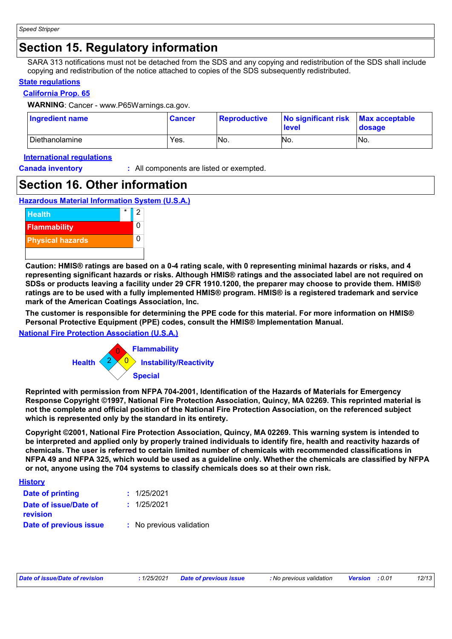### **Section 15. Regulatory information**

SARA 313 notifications must not be detached from the SDS and any copying and redistribution of the SDS shall include copying and redistribution of the notice attached to copies of the SDS subsequently redistributed.

#### **State regulations**

#### **California Prop. 65**

**WARNING**: Cancer - www.P65Warnings.ca.gov.

| <b>Ingredient name</b> | <b>Cancer</b> | <b>Reproductive</b> | No significant risk Max acceptable<br><b>level</b> | dosage |
|------------------------|---------------|---------------------|----------------------------------------------------|--------|
| l Diethanolamine       | Yes.          | No.                 | No.                                                | No.    |

#### **International regulations**

**Canada inventory :** All components are listed or exempted.

### **Section 16. Other information**

**Hazardous Material Information System (U.S.A.)**



**Caution: HMIS® ratings are based on a 0-4 rating scale, with 0 representing minimal hazards or risks, and 4 representing significant hazards or risks. Although HMIS® ratings and the associated label are not required on SDSs or products leaving a facility under 29 CFR 1910.1200, the preparer may choose to provide them. HMIS® ratings are to be used with a fully implemented HMIS® program. HMIS® is a registered trademark and service mark of the American Coatings Association, Inc.**

**The customer is responsible for determining the PPE code for this material. For more information on HMIS® Personal Protective Equipment (PPE) codes, consult the HMIS® Implementation Manual.**

**National Fire Protection Association (U.S.A.)**



**Reprinted with permission from NFPA 704-2001, Identification of the Hazards of Materials for Emergency Response Copyright ©1997, National Fire Protection Association, Quincy, MA 02269. This reprinted material is not the complete and official position of the National Fire Protection Association, on the referenced subject which is represented only by the standard in its entirety.**

**Copyright ©2001, National Fire Protection Association, Quincy, MA 02269. This warning system is intended to be interpreted and applied only by properly trained individuals to identify fire, health and reactivity hazards of chemicals. The user is referred to certain limited number of chemicals with recommended classifications in NFPA 49 and NFPA 325, which would be used as a guideline only. Whether the chemicals are classified by NFPA or not, anyone using the 704 systems to classify chemicals does so at their own risk.**

| <u>History</u>                    |                          |
|-----------------------------------|--------------------------|
| Date of printing                  | : 1/25/2021              |
| Date of issue/Date of<br>revision | : 1/25/2021              |
| Date of previous issue            | : No previous validation |